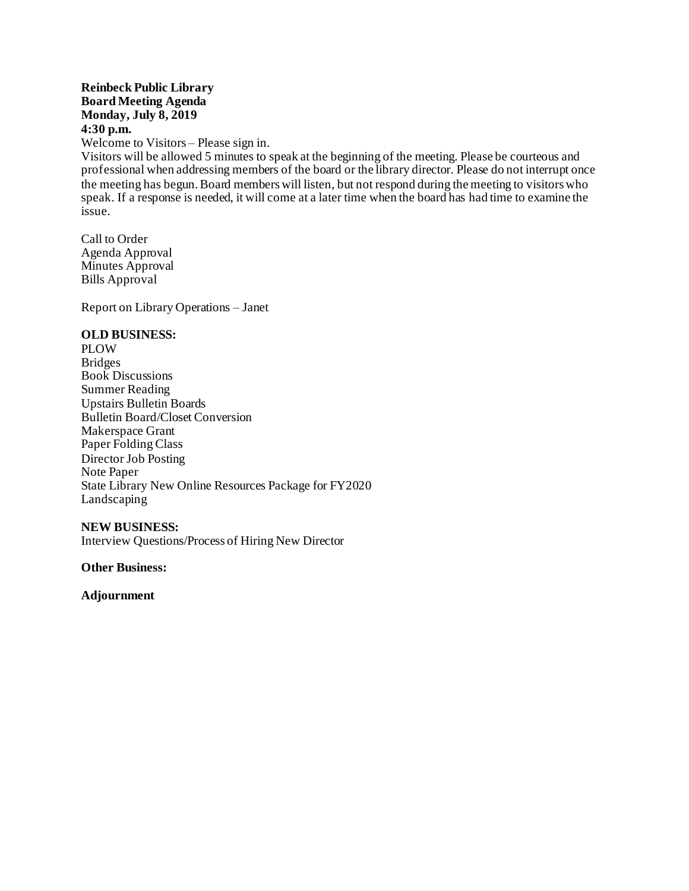### **Reinbeck Public Library Board Meeting Agenda Monday, July 8, 2019 4:30 p.m.**

Welcome to Visitors – Please sign in.

Visitors will be allowed 5 minutes to speak at the beginning of the meeting. Please be courteous and professional when addressing members of the board or the library director. Please do not interrupt once the meeting has begun. Board members will listen, but not respond during the meeting to visitors who speak. If a response is needed, it will come at a later time when the board has had time to examine the issue.

Call to Order Agenda Approval Minutes Approval Bills Approval

Report on Library Operations – Janet

### **OLD BUSINESS:**

PLOW **Bridges** Book Discussions Summer Reading Upstairs Bulletin Boards Bulletin Board/Closet Conversion Makerspace Grant Paper Folding Class Director Job Posting Note Paper State Library New Online Resources Package for FY2020 Landscaping

#### **NEW BUSINESS:**

Interview Questions/Process of Hiring New Director

**Other Business:**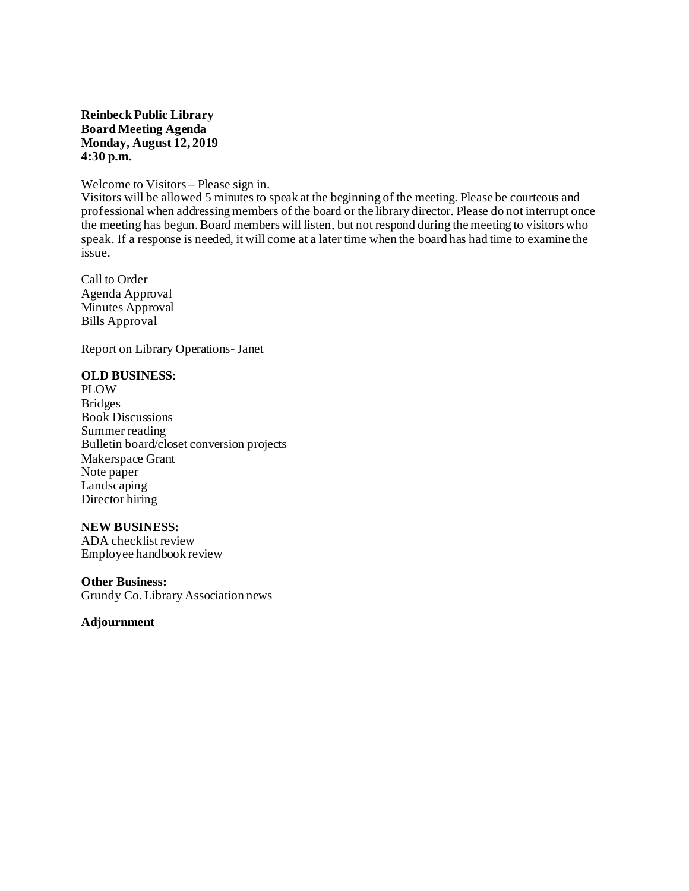### **Reinbeck Public Library Board Meeting Agenda Monday, August 12, 2019 4:30 p.m.**

#### Welcome to Visitors – Please sign in.

Visitors will be allowed 5 minutes to speak at the beginning of the meeting. Please be courteous and professional when addressing members of the board or the library director. Please do not interrupt once the meeting has begun. Board members will listen, but not respond during the meeting to visitors who speak. If a response is needed, it will come at a later time when the board has had time to examine the issue.

Call to Order Agenda Approval Minutes Approval Bills Approval

Report on Library Operations- Janet

#### **OLD BUSINESS:**

PLOW Bridges Book Discussions Summer reading Bulletin board/closet conversion projects Makerspace Grant Note paper Landscaping Director hiring

### **NEW BUSINESS:**

ADA checklist review Employee handbook review

#### **Other Business:**

Grundy Co. Library Association news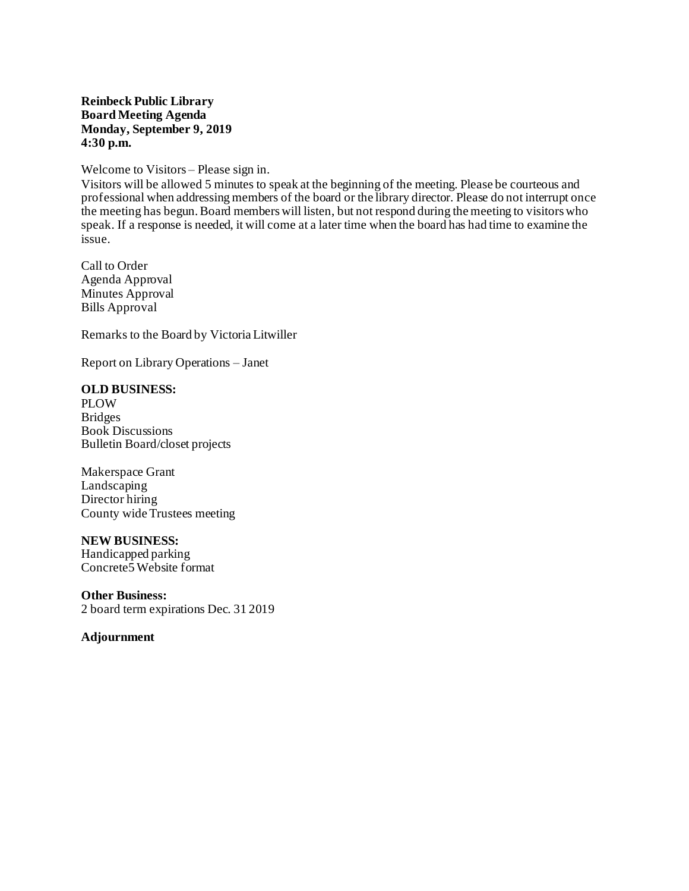#### **Reinbeck Public Library Board Meeting Agenda Monday, September 9, 2019 4:30 p.m.**

Welcome to Visitors – Please sign in.

Visitors will be allowed 5 minutes to speak at the beginning of the meeting. Please be courteous and professional when addressing members of the board or the library director. Please do not interrupt once the meeting has begun. Board members will listen, but not respond during the meeting to visitors who speak. If a response is needed, it will come at a later time when the board has had time to examine the issue.

Call to Order Agenda Approval Minutes Approval Bills Approval

Remarks to the Board by Victoria Litwiller

Report on Library Operations – Janet

## **OLD BUSINESS:**

PLOW **Bridges** Book Discussions Bulletin Board/closet projects

Makerspace Grant Landscaping Director hiring County wide Trustees meeting

#### **NEW BUSINESS:**

Handicapped parking Concrete5 Website format

**Other Business:** 2 board term expirations Dec. 31 2019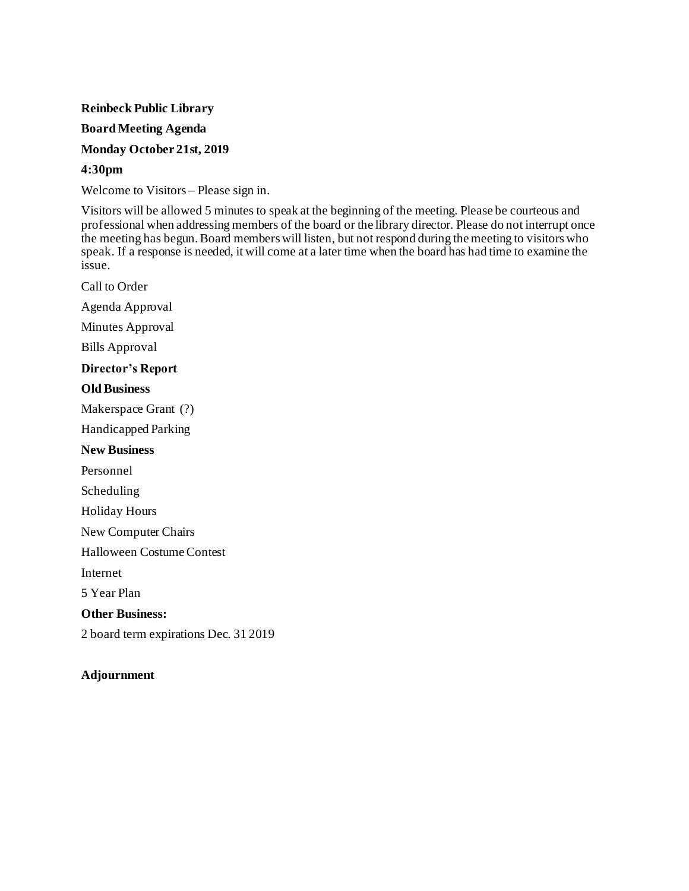#### **Board Meeting Agenda**

### **Monday October 21st, 2019**

### **4:30pm**

Welcome to Visitors – Please sign in.

Visitors will be allowed 5 minutes to speak at the beginning of the meeting. Please be courteous and professional when addressing members of the board or the library director. Please do not interrupt once the meeting has begun. Board members will listen, but not respond during the meeting to visitors who speak. If a response is needed, it will come at a later time when the board has had time to examine the issue.

Call to Order

Agenda Approval

Minutes Approval

Bills Approval

# **Director's Report**

### **Old Business**

Makerspace Grant (?)

Handicapped Parking

### **New Business**

Personnel

Scheduling

Holiday Hours

New Computer Chairs

Halloween Costume Contest

Internet

5 Year Plan

**Other Business:**

2 board term expirations Dec. 31 2019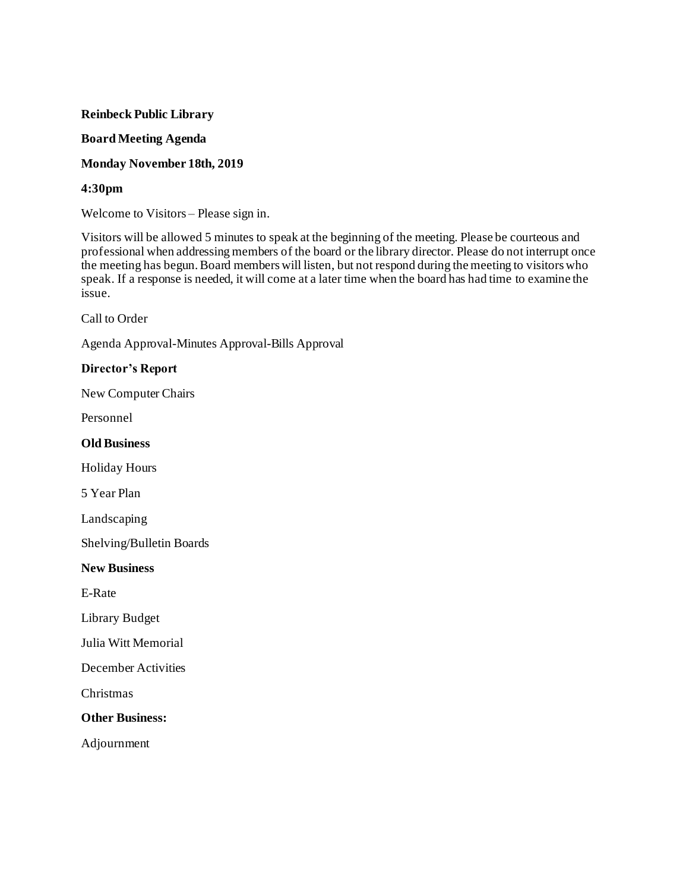## **Board Meeting Agenda**

# **Monday November 18th, 2019**

# **4:30pm**

Welcome to Visitors – Please sign in.

Visitors will be allowed 5 minutes to speak at the beginning of the meeting. Please be courteous and professional when addressing members of the board or the library director. Please do not interrupt once the meeting has begun. Board members will listen, but not respond during the meeting to visitors who speak. If a response is needed, it will come at a later time when the board has had time to examine the issue.

Call to Order

Agenda Approval-Minutes Approval-Bills Approval

## **Director's Report**

New Computer Chairs

Personnel

**Old Business**

Holiday Hours

5 Year Plan

Landscaping

Shelving/Bulletin Boards

**New Business**

E-Rate

Library Budget

Julia Witt Memorial

December Activities

Christmas

**Other Business:**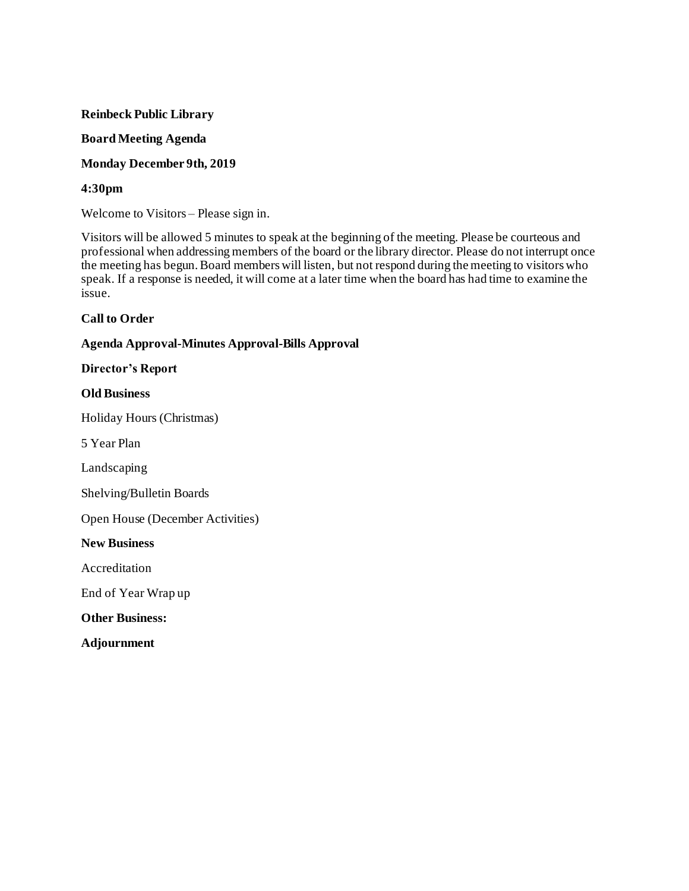## **Board Meeting Agenda**

# **Monday December 9th, 2019**

# **4:30pm**

Welcome to Visitors – Please sign in.

Visitors will be allowed 5 minutes to speak at the beginning of the meeting. Please be courteous and professional when addressing members of the board or the library director. Please do not interrupt once the meeting has begun. Board members will listen, but not respond during the meeting to visitors who speak. If a response is needed, it will come at a later time when the board has had time to examine the issue.

## **Call to Order**

# **Agenda Approval-Minutes Approval-Bills Approval**

### **Director's Report**

## **Old Business**

Holiday Hours (Christmas)

5 Year Plan

Landscaping

Shelving/Bulletin Boards

Open House (December Activities)

**New Business**

Accreditation

End of Year Wrap up

**Other Business:**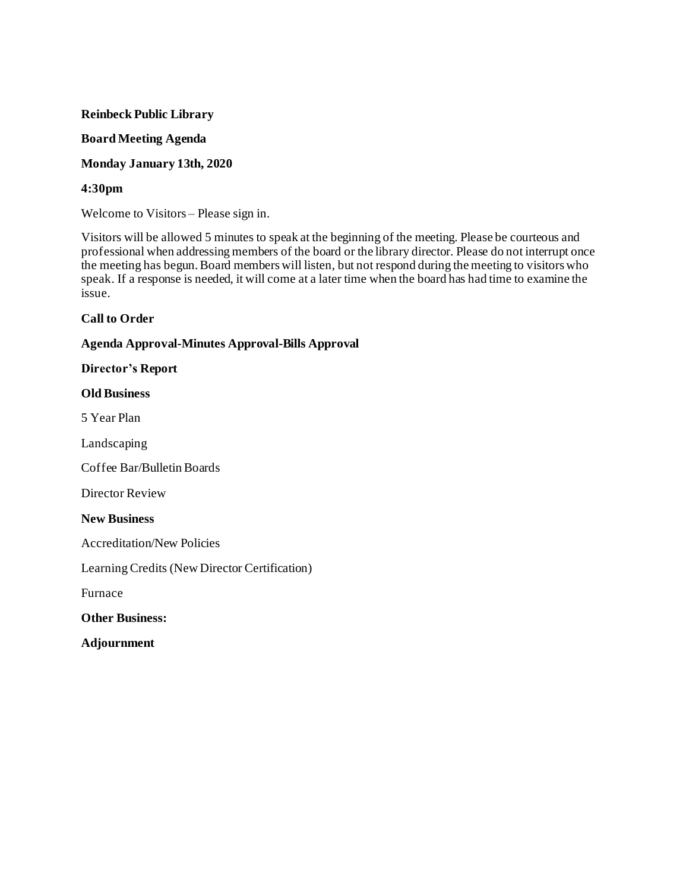### **Board Meeting Agenda**

**Monday January 13th, 2020**

## **4:30pm**

Welcome to Visitors – Please sign in.

Visitors will be allowed 5 minutes to speak at the beginning of the meeting. Please be courteous and professional when addressing members of the board or the library director. Please do not interrupt once the meeting has begun. Board members will listen, but not respond during the meeting to visitors who speak. If a response is needed, it will come at a later time when the board has had time to examine the issue.

## **Call to Order**

## **Agenda Approval-Minutes Approval-Bills Approval**

### **Director's Report**

### **Old Business**

5 Year Plan

Landscaping

Coffee Bar/Bulletin Boards

Director Review

**New Business**

Accreditation/New Policies

Learning Credits (New Director Certification)

Furnace

**Other Business:**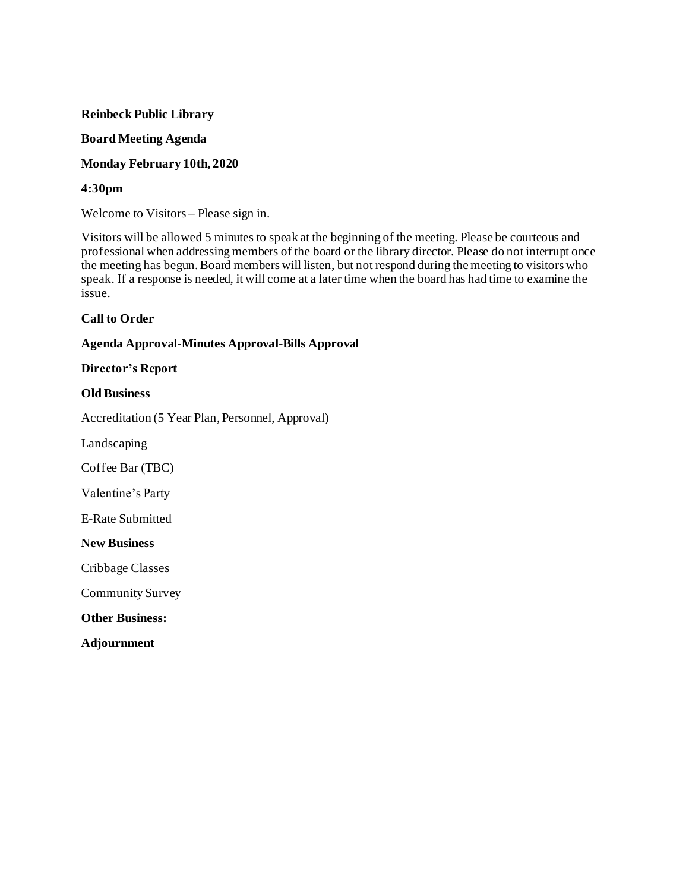## **Board Meeting Agenda**

# **Monday February 10th, 2020**

# **4:30pm**

Welcome to Visitors – Please sign in.

Visitors will be allowed 5 minutes to speak at the beginning of the meeting. Please be courteous and professional when addressing members of the board or the library director. Please do not interrupt once the meeting has begun. Board members will listen, but not respond during the meeting to visitors who speak. If a response is needed, it will come at a later time when the board has had time to examine the issue.

## **Call to Order**

# **Agenda Approval-Minutes Approval-Bills Approval**

### **Director's Report**

## **Old Business**

Accreditation (5 Year Plan, Personnel, Approval)

Landscaping

Coffee Bar (TBC)

Valentine's Party

E-Rate Submitted

#### **New Business**

Cribbage Classes

Community Survey

**Other Business:**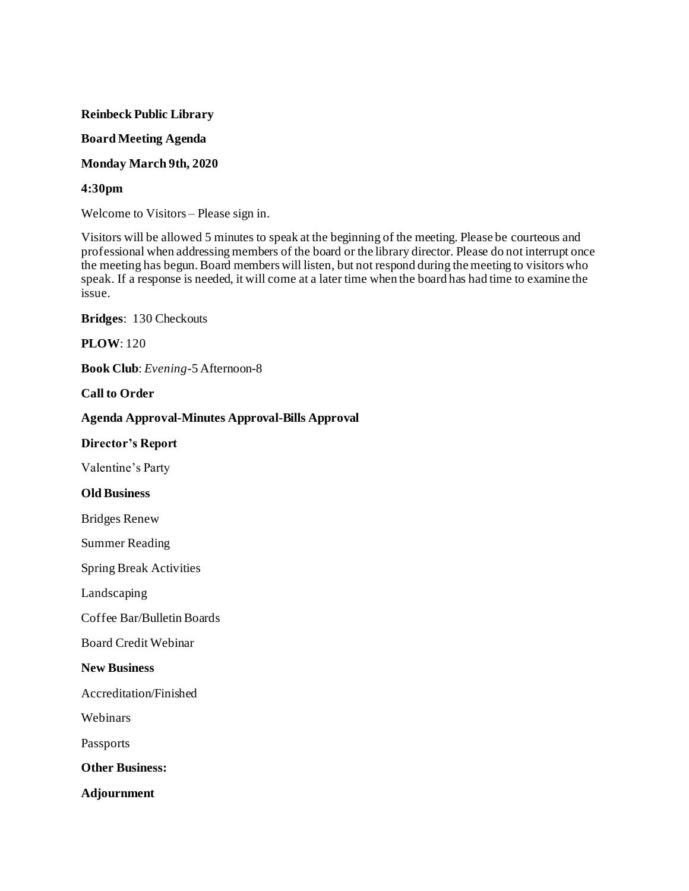### **Board Meeting Agenda**

## **Monday March 9th, 2020**

# **4:30pm**

Welcome to Visitors – Please sign in.

Visitors will be allowed 5 minutes to speak at the beginning of the meeting. Please be courteous and professional when addressing members of the board or the library director. Please do not interrupt once the meeting has begun. Board members will listen, but not respond during the meeting to visitors who speak. If a response is needed, it will come at a later time when the board has had time to examine the issue.

**Bridges**: 130 Checkouts

**PLOW**: 120

**Book Club**: *Evening*-5 Afternoon-8

## **Call to Order**

## **Agenda Approval-Minutes Approval-Bills Approval**

### **Director's Report**

Valentine's Party

### **Old Business**

Bridges Renew

Summer Reading

Spring Break Activities

Landscaping

Coffee Bar/Bulletin Boards

Board Credit Webinar

#### **New Business**

Accreditation/Finished

Webinars

Passports

**Other Business:**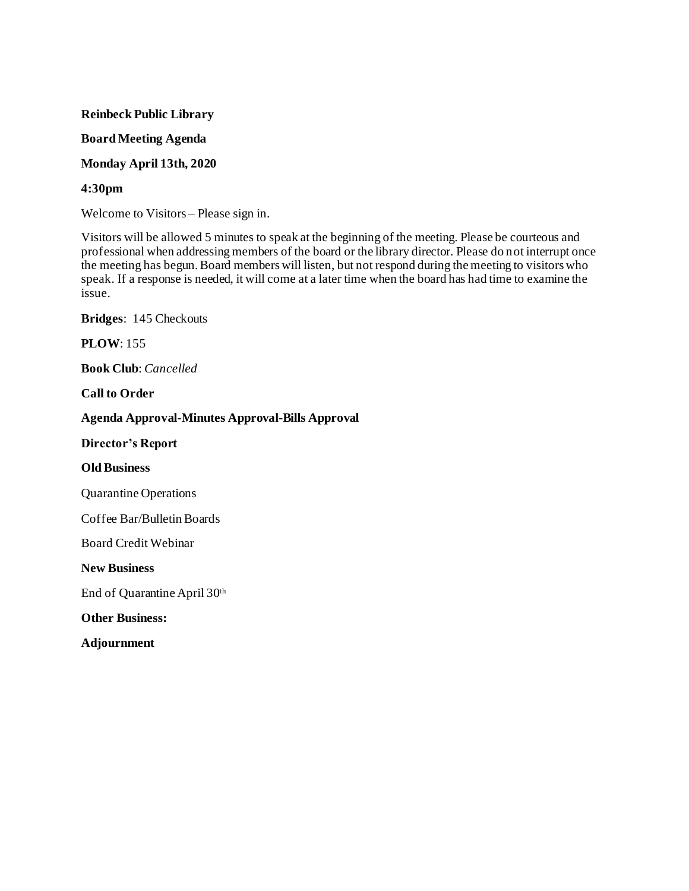### **Board Meeting Agenda**

**Monday April 13th, 2020**

### **4:30pm**

Welcome to Visitors – Please sign in.

Visitors will be allowed 5 minutes to speak at the beginning of the meeting. Please be courteous and professional when addressing members of the board or the library director. Please do not interrupt once the meeting has begun. Board members will listen, but not respond during the meeting to visitors who speak. If a response is needed, it will come at a later time when the board has had time to examine the issue.

**Bridges**: 145 Checkouts

### **PLOW**: 155

**Book Club**: *Cancelled* 

**Call to Order**

#### **Agenda Approval-Minutes Approval-Bills Approval**

**Director's Report**

#### **Old Business**

Quarantine Operations

Coffee Bar/Bulletin Boards

Board Credit Webinar

**New Business**

End of Quarantine April 30th

**Other Business:**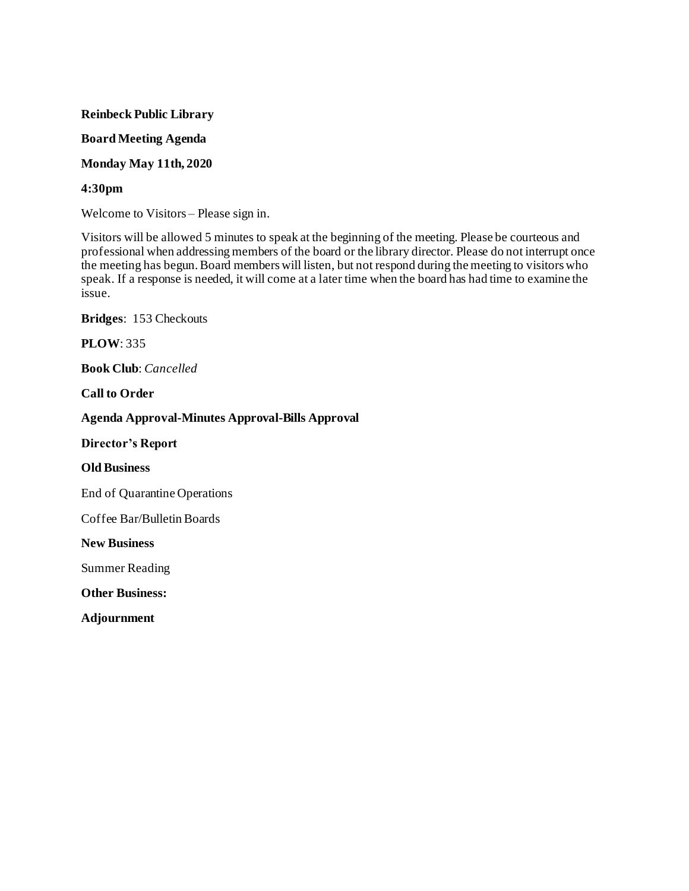### **Board Meeting Agenda**

### **Monday May 11th, 2020**

### **4:30pm**

Welcome to Visitors – Please sign in.

Visitors will be allowed 5 minutes to speak at the beginning of the meeting. Please be courteous and professional when addressing members of the board or the library director. Please do not interrupt once the meeting has begun. Board members will listen, but not respond during the meeting to visitors who speak. If a response is needed, it will come at a later time when the board has had time to examine the issue.

**Bridges**: 153 Checkouts

### **PLOW**: 335

**Book Club**: *Cancelled* 

**Call to Order**

### **Agenda Approval-Minutes Approval-Bills Approval**

**Director's Report**

### **Old Business**

End of Quarantine Operations

Coffee Bar/Bulletin Boards

**New Business**

Summer Reading

**Other Business:**